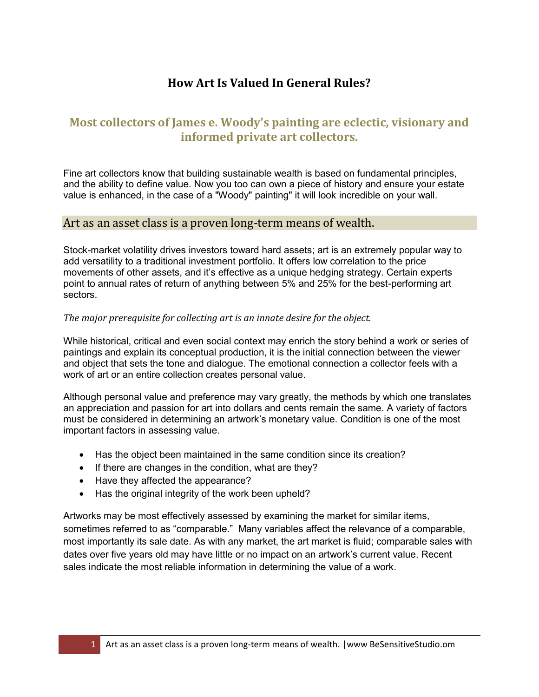# **How Art Is Valued In General Rules?**

## **Most collectors of James e. Woody's painting are eclectic, visionary and informed private art collectors.**

Fine art collectors know that building sustainable wealth is based on fundamental principles, and the ability to define value. Now you too can own a piece of history and ensure your estate value is enhanced, in the case of a "Woody" painting" it will look incredible on your wall.

### Art as an asset class is a proven long-term means of wealth.

Stock-market volatility drives investors toward hard assets; art is an extremely popular way to add versatility to a traditional investment portfolio. It offers low correlation to the price movements of other assets, and it's effective as a unique hedging strategy. Certain experts point to annual rates of return of anything between 5% and 25% for the best-performing art sectors.

#### *The major prerequisite for collecting art is an innate desire for the object.*

While historical, critical and even social context may enrich the story behind a work or series of paintings and explain its conceptual production, it is the initial connection between the viewer and object that sets the tone and dialogue. The emotional connection a collector feels with a work of art or an entire collection creates personal value.

Although personal value and preference may vary greatly, the methods by which one translates an appreciation and passion for art into dollars and cents remain the same. A variety of factors must be considered in determining an artwork's monetary value. Condition is one of the most important factors in assessing value.

- Has the object been maintained in the same condition since its creation?
- If there are changes in the condition, what are they?
- Have they affected the appearance?
- Has the original integrity of the work been upheld?

Artworks may be most effectively assessed by examining the market for similar items, sometimes referred to as "comparable." Many variables affect the relevance of a comparable, most importantly its sale date. As with any market, the art market is fluid; comparable sales with dates over five years old may have little or no impact on an artwork's current value. Recent sales indicate the most reliable information in determining the value of a work.